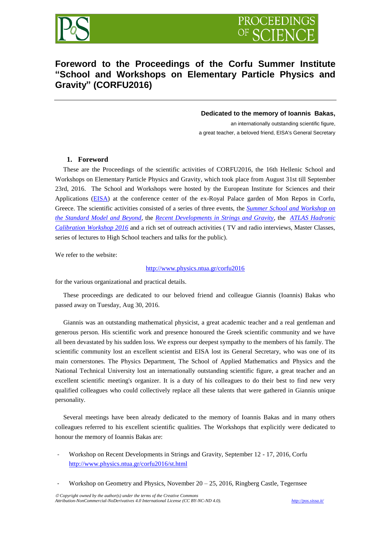



# **Foreword to the Proceedings of the Corfu Summer Institute "School and Workshops on Elementary Particle Physics and Gravity" (CORFU2016)**

#### **Dedicated to the memory of Ioannis Bakas,**

an internationally outstanding scientific figure, a great teacher, a beloved friend, EISA's General Secretary

#### **1. Foreword**

 These are the Proceedings of the scientific activities of CORFU2016, the 16th Hellenic School and Workshops on Elementary Particle Physics and Gravity, which took place from August 31st till September 23rd, 2016. The School and Workshops were hosted by the European Institute for Sciences and their Applications [\(EISA\)](http://www.eisa.institute/) at the conference center of the ex-Royal Palace garden of Mon Repos in Corfu, Greece. The scientific activities consisted of a series of three events, the *[Summer School and Workshop on](http://www.physics.ntua.gr/corfu2016/sm.html)  [the Standard Model and Beyond](http://www.physics.ntua.gr/corfu2016/sm.html)*, the *[Recent Developments in Strings and Gravity](http://www.physics.ntua.gr/corfu2016/st.html)*, the *[ATLAS Hadronic](https://login.cern.ch/adfs/ls/?wtrealm=https%3a%2f%2foauth.web.cern.ch%2f&wctx=WsFedOwinState%3dVrEpd6R8oxnqggqGz5rlSqhkze-TZfUgW7yhS_Feom6TvcmaBXW5fCO6fqkPnzt8-NoY95l_bJi6A2Elxj8p5CLmJwsIyXf61JU6tCRIkYNyTLhiTyA2f6Xb28nr99PBJb_3CLohLZs5e030Dgo4Uxh4oD6FLtuM0Byd3dT6gXEaZ5mNjI3Hgk-X9PwRkYORQWsH0B5_WEmSx1fktjnR0xWujx6ojoVO7TL400CaP5jgk9IJSBhoHmsBtX82100q5Y6AoitvIKJ4zU7oIxRhYeeqa7HLRaeDbCNucTd-o8JNPlpuZINB-1YDQuJ4HH0Nqwh8YA&wa=wsignin1.0)  [Calibration Workshop 2016](https://login.cern.ch/adfs/ls/?wtrealm=https%3a%2f%2foauth.web.cern.ch%2f&wctx=WsFedOwinState%3dVrEpd6R8oxnqggqGz5rlSqhkze-TZfUgW7yhS_Feom6TvcmaBXW5fCO6fqkPnzt8-NoY95l_bJi6A2Elxj8p5CLmJwsIyXf61JU6tCRIkYNyTLhiTyA2f6Xb28nr99PBJb_3CLohLZs5e030Dgo4Uxh4oD6FLtuM0Byd3dT6gXEaZ5mNjI3Hgk-X9PwRkYORQWsH0B5_WEmSx1fktjnR0xWujx6ojoVO7TL400CaP5jgk9IJSBhoHmsBtX82100q5Y6AoitvIKJ4zU7oIxRhYeeqa7HLRaeDbCNucTd-o8JNPlpuZINB-1YDQuJ4HH0Nqwh8YA&wa=wsignin1.0)* and a rich set of outreach activities ( TV and radio interviews, Master Classes, series of lectures to High School teachers and talks for the public).

We refer to the website:

#### <http://www.physics.ntua.gr/corfu2016>

for the various organizational and practical details.

 These proceedings are dedicated to our beloved friend and colleague Giannis (Ioannis) Bakas who passed away on Tuesday, Aug 30, 2016.

 Giannis was an outstanding mathematical physicist, a great academic teacher and a real gentleman and generous person. His scientific work and presence honoured the Greek scientific community and we have all been devastated by his sudden loss. We express our deepest sympathy to the members of his family. The scientific community lost an excellent scientist and EISA lost its General Secretary, who was one of its main cornerstones. The Physics Department, The School of Applied Mathematics and Physics and the National Technical University lost an internationally outstanding scientific figure, a great teacher and an excellent scientific meeting's organizer. It is a duty of his colleagues to do their best to find new very qualified colleagues who could collectively replace all these talents that were gathered in Giannis unique personality.

 Several meetings have been already dedicated to the memory of Ioannis Bakas and in many others colleagues referred to his excellent scientific qualities. The Workshops that explicitly were dedicated to honour the memory of Ioannis Bakas are:

- Workshop on Recent Developments in Strings and Gravity, September 12 17, 2016, Corfu <http://www.physics.ntua.gr/corfu2016/st.html>
- Workshop on Geometry and Physics, November  $20 25$ , 2016, Ringberg Castle, Tegernsee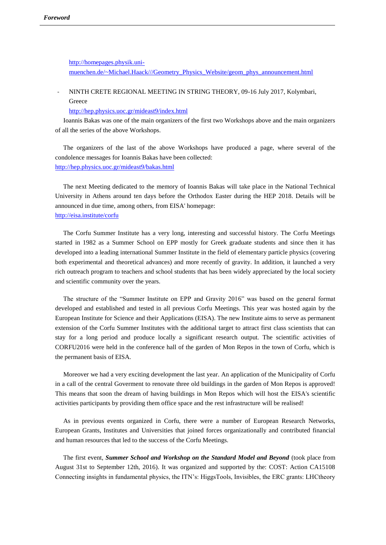[http://homepages.physik.uni](http://homepages.physik.uni-muenchen.de/~Michael.Haack/Geometry_Physics_Website/geom_phys_announcement.html)[muenchen.de/~Michael.Haack///Geometry\\_Physics\\_Website/geom\\_phys\\_announcement.html](http://homepages.physik.uni-muenchen.de/~Michael.Haack/Geometry_Physics_Website/geom_phys_announcement.html)

## - NINTH CRETE REGIONAL MEETING IN STRING THEORY, 09-16 July 2017, Kolymbari, Greece

<http://hep.physics.uoc.gr/mideast9/index.html>

 Ioannis Bakas was one of the main organizers of the first two Workshops above and the main organizers of all the series of the above Workshops.

 The organizers of the last of the above Workshops have produced a page, where several of the condolence messages for Ioannis Bakas have been collected: <http://hep.physics.uoc.gr/mideast9/bakas.html>

 The next Meeting dedicated to the memory of Ioannis Bakas will take place in the National Technical University in Athens around ten days before the Orthodox Easter during the HEP 2018. Details will be announced in due time, among others, from EISA' homepage: <http://eisa.institute/corfu>

 The Corfu Summer Institute has a very long, interesting and successful history. The Corfu Meetings started in 1982 as a Summer School on EPP mostly for Greek graduate students and since then it has developed into a leading international Summer Institute in the field of elementary particle physics (covering both experimental and theoretical advances) and more recently of gravity. In addition, it launched a very rich outreach program to teachers and school students that has been widely appreciated by the local society and scientific community over the years.

 The structure of the "Summer Institute on EPP and Gravity 2016" was based on the general format developed and established and tested in all previous Corfu Meetings. This year was hosted again by the European Institute for Science and their Applications (EISA). The new Institute aims to serve as permanent extension of the Corfu Summer Institutes with the additional target to attract first class scientists that can stay for a long period and produce locally a significant research output. The scientific activities of CORFU2016 were held in the conference hall of the garden of Mon Repos in the town of Corfu, which is the permanent basis of EISA.

 Moreover we had a very exciting development the last year. An application of the Municipality of Corfu in a call of the central Goverment to renovate three old buildings in the garden of Mon Repos is approved! This means that soon the dream of having buildings in Mon Repos which will host the EISA's scientific activities participants by providing them office space and the rest infrastructure will be realised!

 As in previous events organized in Corfu, there were a number of European Research Networks, European Grants, Institutes and Universities that joined forces organizationally and contributed financial and human resources that led to the success of the Corfu Meetings.

 The first event, *Summer School and Workshop on the Standard Model and Beyond* (took place from August 31st to September 12th, 2016). It was organized and supported by the: COST: Action CA15108 Connecting insights in fundamental physics, the ITN's: HiggsTools, Invisibles, the ERC grants: LHCtheory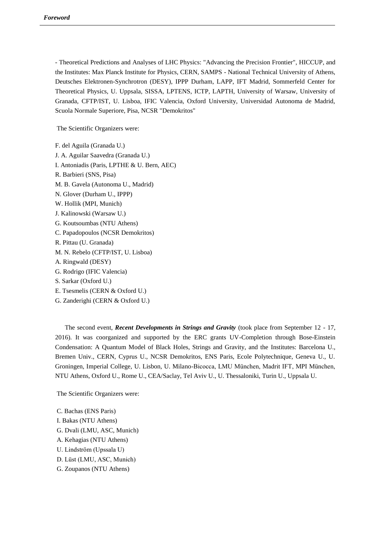- Theoretical Predictions and Analyses of LHC Physics: "Advancing the Precision Frontier", HICCUP, and the Institutes: Max Planck Institute for Physics, CERN, SAMPS - National Technical University of Athens, Deutsches Elektronen-Synchrotron (DESY), IPPP Durham, LAPP, IFT Madrid, Sommerfeld Center for Theoretical Physics, U. Uppsala, SISSA, LPTENS, ICTP, LAPTH, University of Warsaw, University of Granada, CFTP/IST, U. Lisboa, IFIC Valencia, Oxford University, Universidad Autonoma de Madrid, Scuola Normale Superiore, Pisa, NCSR "Demokritos"

The Scientific Organizers were:

F. del Aguila (Granada U.) J. A. Aguilar Saavedra (Granada U.) I. Antoniadis (Paris, LPTHE & U. Bern, AEC) R. Barbieri (SNS, Pisa) M. B. Gavela (Autonoma U., Madrid) N. Glover (Durham U., IPPP) W. Hollik (MPI, Munich) J. Kalinowski (Warsaw U.) G. Koutsoumbas (NTU Athens) C. Papadopoulos (NCSR Demokritos) R. Pittau (U. Granada) M. N. Rebelo (CFTP/IST, U. Lisboa) A. Ringwald (DESY) G. Rodrigo (IFIC Valencia) S. Sarkar (Oxford U.) E. Tsesmelis (CERN & Oxford U.) G. Zanderighi (CERN & Oxford U.)

 The second event, *Recent Developments in Strings and Gravity* (took place from September 12 - 17, 2016). It was coorganized and supported by the ERC grants UV-Completion through Bose-Einstein Condensation: A Quantum Model of Black Holes, Strings and Gravity, and the Institutes: Barcelona U., Bremen Univ., CERN, Cyprus U., NCSR Demokritos, ENS Paris, Ecole Polytechnique, Geneva U., U. Groningen, Imperial College, U. Lisbon, U. Milano-Bicocca, LMU München, Madrit IFT, MPI München, NTU Athens, Oxford U., Rome U., CEA/Saclay, Tel Aviv U., U. Thessaloniki, Turin U., Uppsala U.

The Scientific Organizers were:

C. Bachas (ENS Paris) I. Bakas (NTU Athens) G. Dvali (LMU, ASC, Munich) A. Kehagias (NTU Athens) U. Lindström (Upssala U) D. Lüst (LMU, ASC, Munich) G. Zoupanos (NTU Athens)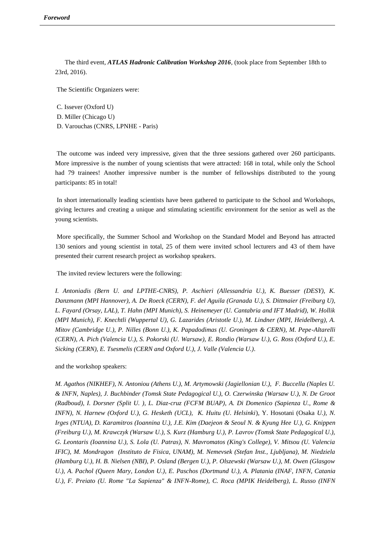The third event, *ATLAS Hadronic Calibration Workshop 2016*, (took place from September 18th to 23rd, 2016).

The Scientific Organizers were:

C. Issever (Oxford U) D. Miller (Chicago U) D. Varouchas (CNRS, LPNHE - Paris)

The outcome was indeed very impressive, given that the three sessions gathered over 260 participants. More impressive is the number of young scientists that were attracted: 168 in total, while only the School had 79 trainees! Another impressive number is the number of fellowships distributed to the young participants: 85 in total!

In short internationally leading scientists have been gathered to participate to the School and Workshops, giving lectures and creating a unique and stimulating scientific environment for the senior as well as the young scientists.

More specifically, the Summer School and Workshop on the Standard Model and Beyond has attracted 130 seniors and young scientist in total, 25 of them were invited school lecturers and 43 of them have presented their current research project as workshop speakers.

The invited review lecturers were the following:

*I. Antoniadis (Bern U. and LPTHE-CNRS), P. Aschieri (Allessandria U.), K. Buesser (DESY), K. Danzmann (MPI Hannover), A. De Roeck (CERN), F. del Aguila (Granada U.), S. Dittmaier (Freiburg U), L. Fayard (Orsay, LAL), T. Hahn (MPI Munich), S. Heinemeyer (U. Cantabria and IFT Madrid), W. Hollik (MPI Munich), F. Knechtli (Wuppertal U), G. Lazarides (Aristotle U.), M. Lindner (MPI, Heidelberg), A. Mitov (Cambridge U.), P. Nilles (Bonn U.), K. Papadodimas (U. Groningen & CERN), M. Pepe-Altarelli (CERN), A. Pich (Valencia U.), S. Pokorski (U. Warsaw), E. Rondio (Warsaw U.), G. Ross (Oxford U.), E. Sicking (CERN), E. Tsesmelis (CERN and Oxford U.), J. Valle (Valencia U.).*

and the workshop speakers:

*M. Agathos (NIKHEF), N. Antoniou (Athens U.), M. Artymowski (Jagiellonian U.), F. Buccella (Naples U. & INFN, Naples), J. Buchbinder (Tomsk State Pedagogical U.), O. Czerwinska (Warsaw U.), N. De Groot (Radboud), I. Dorsner (Split U. ), L. Diaz-cruz (FCFM BUAP), A. Di Domenico (Sapienza U., Rome & INFN), N. Harnew (Oxford U.), G. Hesketh (UCL), K. Huitu (U. Helsinki*), Y. Hosotani (Osaka *U.), N. Irges (NTUA), D. Karamitros (Ioannina U.), J.E. Kim (Daejeon & Seoul N. & Kyung Hee U.), G. Knippen (Freiburg U.), M. Krawczyk (Warsaw U.), S. Kurz (Hamburg U.), P. Lavrov (Tomsk State Pedagogical U.), G. Leontaris (Ioannina U.), S. Lola (U. Patras), N. Mavromatos (King's College), V. Mitsou (U. Valencia IFIC), M. Mondragon (Instituto de Fisica, UNAM), M. Nemevsek (Stefan Inst., Ljubljana), M. Niedziela (Hamburg U.), H. B. Nielsen (NBI), P. Osland (Bergen U.), P. Olszewski (Warsaw U.), M. Owen (Glasgow U.), A. Pachol (Queen Mary, London U.), E. Paschos (Dortmund U.), A. Platania (INAF, INFN, Catania U.), F. Preiato (U. Rome "La Sapienza" & INFN-Rome), C. Roca (MPIK Heidelberg), L. Russo (INFN*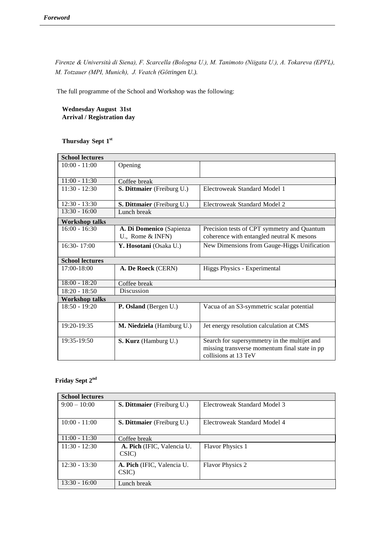*Firenze & Università di Siena), F. Scarcella (Bologna U.), M. Tanimoto (Niigata U.), A. Tokareva (EPFL), M. Totzauer (MPI, Munich), J. Veatch (Göttingen U.).*

The full programme of the School and Workshop was the following:

**Wednesday August 31st Arrival / Registration day**

## **Thursday Sept 1 st**

| <b>School lectures</b> |                                   |                                                                       |
|------------------------|-----------------------------------|-----------------------------------------------------------------------|
| $10:00 - 11:00$        | Opening                           |                                                                       |
|                        |                                   |                                                                       |
| $11:00 - 11:30$        | Coffee break                      |                                                                       |
| $11:30 - 12:30$        | <b>S. Dittmaier</b> (Freiburg U.) | Electroweak Standard Model 1                                          |
| $12:30 - 13:30$        | S. Dittmaier (Freiburg U.)        | Electroweak Standard Model 2                                          |
| $13:30 - 16:00$        | Lunch break                       |                                                                       |
| <b>Workshop talks</b>  |                                   |                                                                       |
| $16:00 - 16:30$        | A. Di Domenico (Sapienza          | Precision tests of CPT symmetry and Quantum                           |
|                        | U., Rome $&$ INFN)                | coherence with entangled neutral K mesons                             |
| $16:30 - 17:00$        | Y. Hosotani (Osaka U.)            | New Dimensions from Gauge-Higgs Unification                           |
|                        |                                   |                                                                       |
|                        |                                   |                                                                       |
| <b>School lectures</b> |                                   |                                                                       |
| $17:00 - 18:00$        | A. De Roeck (CERN)                | Higgs Physics - Experimental                                          |
| $18:00 - 18:20$        | Coffee break                      |                                                                       |
| $18:20 - 18:50$        | Discussion                        |                                                                       |
| <b>Workshop talks</b>  |                                   |                                                                       |
| $18:50 - 19:20$        | P. Osland (Bergen U.)             | Vacua of an S3-symmetric scalar potential                             |
|                        |                                   |                                                                       |
| 19:20-19:35            | M. Niedziela (Hamburg U.)         | Jet energy resolution calculation at CMS                              |
|                        |                                   |                                                                       |
| 19:35-19:50            | S. Kurz (Hamburg U.)              | Search for supersymmetry in the multijet and                          |
|                        |                                   | missing transverse momentum final state in pp<br>collisions at 13 TeV |

## **Friday Sept 2nd**

| <b>School lectures</b> |                                     |                              |
|------------------------|-------------------------------------|------------------------------|
| $9:00 - 10:00$         | <b>S. Dittmaier</b> (Freiburg U.)   | Electroweak Standard Model 3 |
| $10:00 - 11:00$        | <b>S. Dittmaier</b> (Freiburg U.)   | Electroweak Standard Model 4 |
| $11:00 - 11:30$        | Coffee break                        |                              |
| $11:30 - 12:30$        | A. Pich (IFIC, Valencia U.<br>CSIC) | <b>Flavor Physics 1</b>      |
| $12:30 - 13:30$        | A. Pich (IFIC, Valencia U.<br>CSIC) | <b>Flavor Physics 2</b>      |
| $13:30 - 16:00$        | Lunch break                         |                              |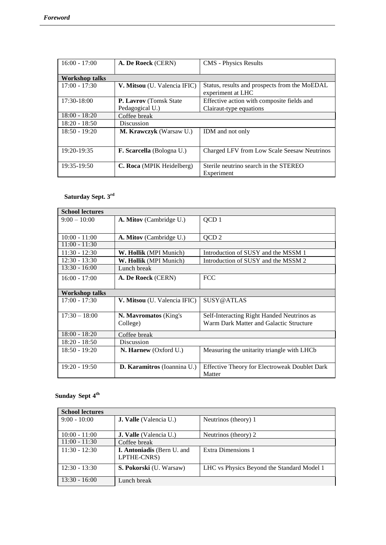| $16:00 - 17:00$       | A. De Roeck (CERN)               | <b>CMS</b> - Physics Results                  |
|-----------------------|----------------------------------|-----------------------------------------------|
|                       |                                  |                                               |
| <b>Workshop talks</b> |                                  |                                               |
| $17:00 - 17:30$       | V. Mitsou (U. Valencia IFIC)     | Status, results and prospects from the MoEDAL |
|                       |                                  | experiment at LHC                             |
| $17:30-18:00$         | <b>P. Lavrov</b> (Tomsk State)   | Effective action with composite fields and    |
|                       | Pedagogical U.)                  | Clairaut-type equations                       |
| $18:00 - 18:20$       | Coffee break                     |                                               |
| $18:20 - 18:50$       | <b>Discussion</b>                |                                               |
| $18:50 - 19:20$       | <b>M. Krawczyk</b> (Warsaw U.)   | IDM and not only                              |
|                       |                                  |                                               |
| 19:20-19:35           | <b>F. Scarcella</b> (Bologna U.) | Charged LFV from Low Scale Seesaw Neutrinos   |
|                       |                                  |                                               |
| 19:35-19:50           | C. Roca (MPIK Heidelberg)        | Sterile neutrino search in the STEREO         |
|                       |                                  | Experiment                                    |

# **Saturday Sept. 3rd**

| <b>School lectures</b> |                                |                                                      |
|------------------------|--------------------------------|------------------------------------------------------|
| $9:00 - 10:00$         | <b>A. Mitov</b> (Cambridge U.) | QCD <sub>1</sub>                                     |
|                        |                                |                                                      |
| $10:00 - 11:00$        | A. Mitov (Cambridge U.)        | QCD <sub>2</sub>                                     |
| $11:00 - 11:30$        |                                |                                                      |
| $11:30 - 12:30$        | W. Hollik (MPI Munich)         | Introduction of SUSY and the MSSM 1                  |
| $12:30 - 13:30$        | W. Hollik (MPI Munich)         | Introduction of SUSY and the MSSM 2                  |
| $13:30 - 16:00$        | Lunch break                    |                                                      |
| $16:00 - 17:00$        | A. De Roeck (CERN)             | <b>FCC</b>                                           |
|                        |                                |                                                      |
| Workshop talks         |                                |                                                      |
| $17:00 - 17:30$        | V. Mitsou (U. Valencia IFIC)   | SUSY@ATLAS                                           |
|                        |                                |                                                      |
| $17:30 - 18:00$        | N. Mayromatos (King's          | Self-Interacting Right Handed Neutrinos as           |
|                        | College)                       | Warm Dark Matter and Galactic Structure              |
| $18:00 - 18:20$        | Coffee break                   |                                                      |
| $18:20 - 18:50$        | Discussion                     |                                                      |
| $18:50 - 19:20$        | <b>N. Harnew</b> (Oxford U.)   | Measuring the unitarity triangle with LHCb.          |
|                        |                                |                                                      |
| $19:20 - 19:50$        | D. Karamitros (Ioannina U.)    | <b>Effective Theory for Electroweak Doublet Dark</b> |
|                        |                                | Matter                                               |

### **Sunday Sept 4 th**

| <b>School lectures</b> |                                           |                                            |
|------------------------|-------------------------------------------|--------------------------------------------|
| $9:00 - 10:00$         | <b>J. Valle</b> (Valencia U.)             | Neutrinos (theory) 1                       |
|                        |                                           |                                            |
| $10:00 - 11:00$        | <b>J. Valle</b> (Valencia U.)             | Neutrinos (theory) 2                       |
| $11:00 - 11:30$        | Coffee break                              |                                            |
| $11:30 - 12:30$        | I. Antoniadis (Bern U. and<br>LPTHE-CNRS) | Extra Dimensions 1                         |
| $12:30 - 13:30$        | S. Pokorski (U. Warsaw)                   | LHC vs Physics Beyond the Standard Model 1 |
| $13:30 - 16:00$        | Lunch break                               |                                            |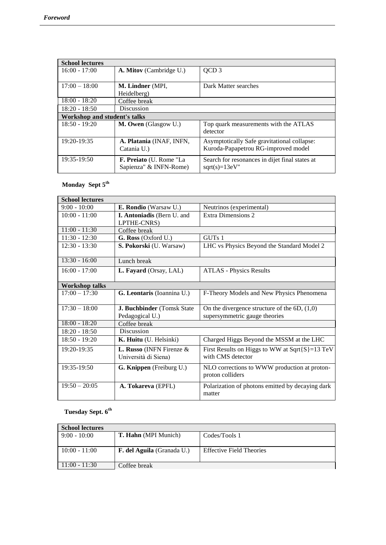| <b>School lectures</b>       |                                |                                                |
|------------------------------|--------------------------------|------------------------------------------------|
| $16:00 - 17:00$              | <b>A. Mitov</b> (Cambridge U.) | QCD <sub>3</sub>                               |
|                              |                                |                                                |
| $17:00 - 18:00$              | M. Lindner (MPI,               | Dark Matter searches                           |
|                              | Heidelberg)                    |                                                |
| $18:00 - 18:20$              | Coffee break                   |                                                |
| $18:20 - 18:50$              | Discussion                     |                                                |
| Workshop and student's talks |                                |                                                |
| $18:50 - 19:20$              | M. Owen (Glasgow U.)           | Top quark measurements with the ATLAS          |
|                              |                                | detector                                       |
| 19:20-19:35                  | A. Platania (INAF, INFN,       | Asymptotically Safe gravitational collapse:    |
|                              | Catania U.)                    | Kuroda-Papapetrou RG-improved model            |
| 19:35-19:50                  | F. Preiato (U. Rome "La        | Search for resonances in dijet final states at |
|                              | Sapienza" & INFN-Rome)         | $sqrt(s)=13eV''$                               |

# **Monday Sept 5th**

| <b>School lectures</b> |                                    |                                                                  |
|------------------------|------------------------------------|------------------------------------------------------------------|
| $9:00 - 10:00$         | E. Rondio (Warsaw U.)              | Neutrinos (experimental)                                         |
| $10:00 - 11:00$        | <b>I. Antoniadis (Bern U. and</b>  | Extra Dimensions 2                                               |
|                        | LPTHE-CNRS)                        |                                                                  |
| $11:00 - 11:30$        | Coffee break                       |                                                                  |
| $11:30 - 12:30$        | G. Ross (Oxford U.)                | GUT <sub>s</sub> 1                                               |
| $12:30 - 13:30$        | S. Pokorski (U. Warsaw)            | LHC vs Physics Beyond the Standard Model 2                       |
| $13:30 - 16:00$        | Lunch break                        |                                                                  |
| $16:00 - 17:00$        | L. Fayard (Orsay, LAL)             | <b>ATLAS - Physics Results</b>                                   |
| <b>Workshop talks</b>  |                                    |                                                                  |
| $17:00 - 17:30$        | G. Leontaris (Ioannina U.)         | F-Theory Models and New Physics Phenomena                        |
| $17:30 - 18:00$        | J. Buchbinder (Tomsk State         | On the divergence structure of the $6D$ , $(1,0)$                |
|                        | Pedagogical U.)                    | supersymmetric gauge theories                                    |
| $18:00 - 18:20$        | Coffee break                       |                                                                  |
| $18:20 - 18:50$        | Discussion                         |                                                                  |
| $18:50 - 19:20$        | K. Huitu (U. Helsinki)             | Charged Higgs Beyond the MSSM at the LHC                         |
| 19:20-19:35            | <b>L. Russo</b> (INFN Firenze $\&$ | First Results on Higgs to WW at $Sqrt{S}$ =13 TeV                |
|                        | Università di Siena)               | with CMS detector                                                |
| 19:35-19:50            | G. Knippen (Freiburg U.)           | NLO corrections to WWW production at proton-<br>proton colliders |
| $19:50 - 20:05$        | A. Tokareva (EPFL)                 | Polarization of photons emitted by decaying dark<br>matter       |

# **Tuesday Sept. 6th**

| <b>School lectures</b> |                                   |                                 |
|------------------------|-----------------------------------|---------------------------------|
| $9:00 - 10:00$         | <b>T. Hahn</b> (MPI Munich)       | Codes/Tools 1                   |
|                        |                                   |                                 |
| $10:00 - 11:00$        | <b>F. del Aguila</b> (Granada U.) | <b>Effective Field Theories</b> |
|                        |                                   |                                 |
| $11:00 - 11:30$        | Coffee break                      |                                 |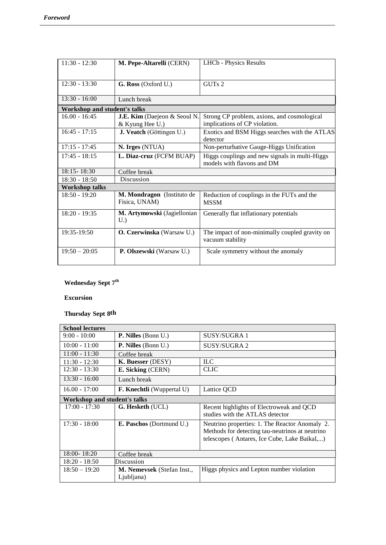| $11:30 - 12:30$                     | M. Pepe-Altarelli (CERN)                        | <b>LHCb</b> - Physics Results                                                |
|-------------------------------------|-------------------------------------------------|------------------------------------------------------------------------------|
| $12:30 - 13:30$                     | G. Ross (Oxford U.)                             | GUTs 2                                                                       |
| $13:30 - 16:00$                     | Lunch break                                     |                                                                              |
| <b>Workshop and student's talks</b> |                                                 |                                                                              |
| $16.00 - 16:45$                     | J.E. Kim (Daejeon & Seoul N.<br>& Kyung Hee U.) | Strong CP problem, axions, and cosmological<br>implications of CP violation. |
| $16:45 - 17:15$                     | J. Veatch (Göttingen U.)                        | Exotics and BSM Higgs searches with the ATLAS<br>detector                    |
| $17:15 - 17:45$                     | N. Irges (NTUA)                                 | Non-perturbative Gauge-Higgs Unification                                     |
| $17:45 - 18:15$                     | L. Diaz-cruz (FCFM BUAP)                        | Higgs couplings and new signals in multi-Higgs<br>models with flavons and DM |
| $18:15 - 18:30$                     | Coffee break                                    |                                                                              |
| $18:30 - 18:50$                     | Discussion                                      |                                                                              |
| <b>Workshop talks</b>               |                                                 |                                                                              |
| $18:50 - 19:20$                     | M. Mondragon (Instituto de<br>Fisica, UNAM)     | Reduction of couplings in the FUTs and the<br><b>MSSM</b>                    |
| $18:20 - 19:35$                     | M. Artymowski (Jagiellonian<br>U.               | Generally flat inflationary potentials                                       |
| 19:35-19:50                         | <b>O. Czerwinska</b> (Warsaw U.)                | The impact of non-minimally coupled gravity on<br>vacuum stability           |
| $19:50 - 20:05$                     | P. Olszewski (Warsaw U.)                        | Scale symmetry without the anomaly                                           |

# **Wednesday Sept 7th**

**Excursion** 

# **Thursday Sept 8th**

| <b>School lectures</b>       |                                                 |                                                                                                                                                   |
|------------------------------|-------------------------------------------------|---------------------------------------------------------------------------------------------------------------------------------------------------|
| $9:00 - 10:00$               | <b>P. Nilles</b> (Bonn U.)                      | SUSY/SUGRA 1                                                                                                                                      |
| $10:00 - 11:00$              | <b>P. Nilles</b> (Bonn U.)                      | SUSY/SUGRA 2                                                                                                                                      |
| $11:00 - 11:30$              | Coffee break                                    |                                                                                                                                                   |
| $11:30 - 12:30$              | K. Buesser (DESY)                               | <b>ILC</b>                                                                                                                                        |
| $12:30 - 13:30$              | E. Sicking (CERN)                               | <b>CLIC</b>                                                                                                                                       |
| $13:30 - 16:00$              | Lunch break                                     |                                                                                                                                                   |
| $16.00 - 17:00$              | <b>F. Knechtli</b> (Wuppertal U)                | Lattice QCD                                                                                                                                       |
| Workshop and student's talks |                                                 |                                                                                                                                                   |
| $17:00 - 17:30$              | <b>G. Hesketh</b> (UCL)                         | Recent highlights of Electroweak and QCD<br>studies with the ATLAS detector                                                                       |
| $17:30 - 18:00$              | <b>E. Paschos</b> (Dortmund U.)                 | Neutrino properties: 1. The Reactor Anomaly 2.<br>Methods for detecting tau-neutrinos at neutrino<br>telescopes (Antares, Ice Cube, Lake Baikal,) |
| $18:00 - 18:20$              | Coffee break                                    |                                                                                                                                                   |
| $18:20 - 18:50$              | Discussion                                      |                                                                                                                                                   |
| $18:50 - 19:20$              | <b>M. Nemevsek</b> (Stefan Inst.,<br>Ljubljana) | Higgs physics and Lepton number violation                                                                                                         |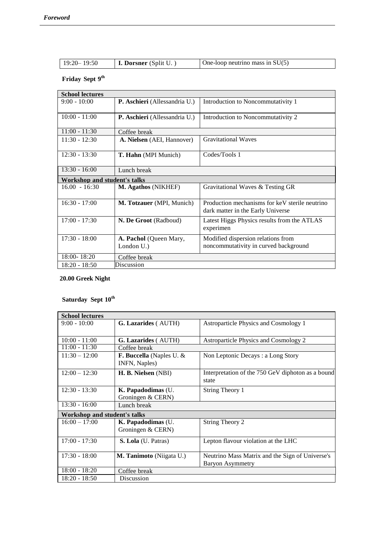| $\vert$ <b>I. Dorsner</b> (Split U. )<br>One-loop neutrino mass in $SU(5)$ |
|----------------------------------------------------------------------------|
|----------------------------------------------------------------------------|

#### **Friday Sept 9 th**

| <b>School lectures</b>       |                                      |                                                                                     |
|------------------------------|--------------------------------------|-------------------------------------------------------------------------------------|
| $9:00 - 10:00$               | P. Aschieri (Allessandria U.)        | Introduction to Noncommutativity 1                                                  |
| $10:00 - 11:00$              | P. Aschieri (Allessandria U.)        | Introduction to Noncommutativity 2                                                  |
| $11:00 - 11:30$              | Coffee break                         |                                                                                     |
| $11:30 - 12:30$              | A. Nielsen (AEI, Hannover)           | <b>Gravitational Waves</b>                                                          |
| $12:30 - 13:30$              | T. Hahn (MPI Munich)                 | Codes/Tools 1                                                                       |
| $13:30 - 16:00$              | Lunch break                          |                                                                                     |
| Workshop and student's talks |                                      |                                                                                     |
| $16.00 - 16:30$              | M. Agathos (NIKHEF)                  | Gravitational Waves & Testing GR                                                    |
| $16:30 - 17:00$              | <b>M. Totzauer</b> (MPI, Munich)     | Production mechanisms for keV sterile neutrino<br>dark matter in the Early Universe |
| $17:00 - 17:30$              | N. De Groot (Radboud)                | Latest Higgs Physics results from the ATLAS<br>experimen                            |
| $17:30 - 18:00$              | A. Pachol (Queen Mary,<br>London U.) | Modified dispersion relations from<br>noncommutativity in curved background         |
| $18:00 - 18:20$              | Coffee break                         |                                                                                     |
| $18:20 - 18:50$              | Discussion                           |                                                                                     |

## **20.00 Greek Night**

# **Saturday Sept 10th**

| <b>School lectures</b>       |                                                     |                                                                            |  |
|------------------------------|-----------------------------------------------------|----------------------------------------------------------------------------|--|
| $9:00 - 10:00$               | G. Lazarides (AUTH)                                 | Astroparticle Physics and Cosmology 1                                      |  |
|                              |                                                     |                                                                            |  |
| $10:00 - 11:00$              | <b>G. Lazarides</b> (AUTH)                          | Astroparticle Physics and Cosmology 2                                      |  |
| $11:00 - 11:30$              | Coffee break                                        |                                                                            |  |
| $11:30 - 12:00$              | <b>F. Buccella</b> (Naples U. $\&$<br>INFN, Naples) | Non Leptonic Decays: a Long Story                                          |  |
| $12:00 - 12:30$              | H. B. Nielsen (NBI)                                 | Interpretation of the 750 GeV diphoton as a bound<br>state                 |  |
| $12:30 - 13:30$              | K. Papadodimas (U.<br>Groningen & CERN)             | String Theory 1                                                            |  |
| $13:30 - 16:00$              | Lunch break                                         |                                                                            |  |
| Workshop and student's talks |                                                     |                                                                            |  |
| $16:00 - 17:00$              | K. Papadodimas (U.<br>Groningen & CERN)             | String Theory 2                                                            |  |
| $17:00 - 17:30$              | <b>S. Lola</b> (U. Patras)                          | Lepton flavour violation at the LHC                                        |  |
| $17:30 - 18:00$              | M. Tanimoto (Niigata U.)                            | Neutrino Mass Matrix and the Sign of Universe's<br><b>Baryon Asymmetry</b> |  |
| $18:00 - 18:20$              | Coffee break                                        |                                                                            |  |
| $18:20 - 18:50$              | Discussion                                          |                                                                            |  |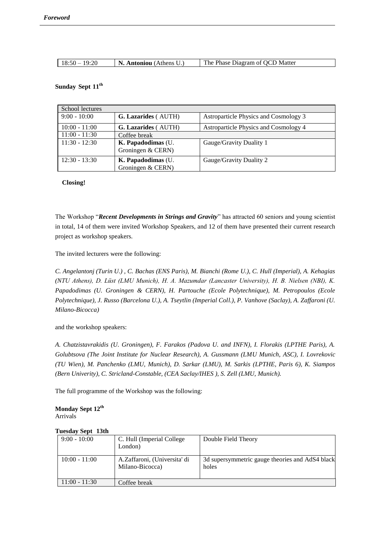| $18:50 - 19:20$ | $\mid$ <b>N. Antoniou</b> (Athens U.) | The Phase Diagram of QCD Matter |
|-----------------|---------------------------------------|---------------------------------|

#### **Sunday Sept 11th**

| School lectures |                                         |                                       |  |
|-----------------|-----------------------------------------|---------------------------------------|--|
| $9:00 - 10:00$  | <b>G. Lazarides</b> (AUTH)              | Astroparticle Physics and Cosmology 3 |  |
| $10:00 - 11:00$ | <b>G. Lazarides</b> (AUTH)              | Astroparticle Physics and Cosmology 4 |  |
| $11:00 - 11:30$ | Coffee break                            |                                       |  |
| $11:30 - 12:30$ | K. Papadodimas (U.<br>Groningen & CERN) | Gauge/Gravity Duality 1               |  |
| $12:30 - 13:30$ | K. Papadodimas (U.<br>Groningen & CERN) | Gauge/Gravity Duality 2               |  |

#### **Closing!**

The Workshop "*Recent Developments in Strings and Gravity*" has attracted 60 seniors and young scientist in total, 14 of them were invited Workshop Speakers, and 12 of them have presented their current research project as workshop speakers.

The invited lecturers were the following:

*C. Angelantonj (Turin U.) , C. Bachas (ENS Paris), M. Bianchi (Rome U.), C. Hull (Imperial), A. Kehagias (NTU Athens), D. Lüst (LMU Munich), H. A. Mazumdar (Lancaster University), H. B. Nielsen (NBI), K. Papadodimas (U. Groningen & CERN), H. Partouche (Ecole Polytechnique), M. Petropoulos (Ecole Polytechnique), J. Russo (Barcelona U.), A. Tseytlin (Imperial Coll.), P. Vanhove (Saclay), A. Zaffaroni (U. Milano-Bicocca)*

and the workshop speakers:

*A. Chatzistavrakidis (U. Groningen), F. Farakos (Padova U. and INFN), I. Florakis (LPTHE Paris), A. Golubtsova (The Joint Institute for Nuclear Research), A. Gussmann (LMU Munich, ASC), I. Lovrekovic (TU Wien), M. Panchenko (LMU, Munich), D. Sarkar (LMU), M. Sarkis (LPTHE, Paris 6), K. Siampos (Bern Univerity), C. Stricland-Constable, (CEA Saclay/IHES ), S. Zell (LMU, Munich).*

The full programme of the Workshop was the following:

**Monday Sept 12th** Arrivals

| Tutsuay bept toth |                                                 |                                                          |
|-------------------|-------------------------------------------------|----------------------------------------------------------|
| $9:00 - 10:00$    | C. Hull (Imperial College)<br>London)           | Double Field Theory                                      |
| $10:00 - 11:00$   | A.Zaffaroni, (Universita' di<br>Milano-Bicocca) | 3d supersymmetric gauge theories and AdS4 black<br>holes |
| $11:00 - 11:30$   | Coffee break                                    |                                                          |

### **Tuesday Sept 13th**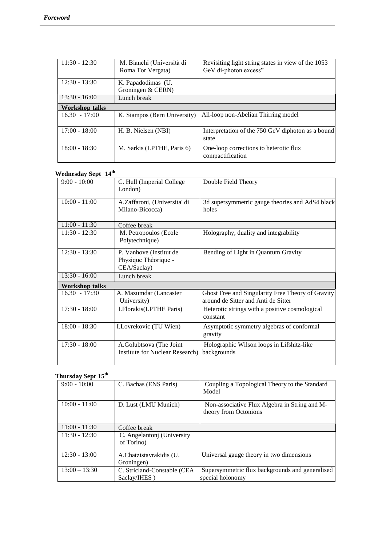| $11:30 - 12:30$ | M. Bianchi (Università di<br>Roma Tor Vergata) | Revisiting light string states in view of the 1053<br>GeV di-photon excess" |
|-----------------|------------------------------------------------|-----------------------------------------------------------------------------|
| $12:30 - 13:30$ | K. Papadodimas (U.<br>Groningen & CERN)        |                                                                             |
| $13:30 - 16:00$ | Lunch break                                    |                                                                             |
| Workshop talks  |                                                |                                                                             |
| $16.30 - 17:00$ | K. Siampos (Bern University)                   | All-loop non-Abelian Thirring model                                         |
| $17:00 - 18:00$ | H. B. Nielsen (NBI)                            | Interpretation of the 750 GeV diphoton as a bound<br>state                  |
| $18:00 - 18:30$ | M. Sarkis (LPTHE, Paris 6)                     | One-loop corrections to heterotic flux<br>compactification                  |

### **Wednesday Sept 14th**

| $\alpha$ cullesuay $\beta$ epi $\alpha$ - |                                                                    |                                                                                          |
|-------------------------------------------|--------------------------------------------------------------------|------------------------------------------------------------------------------------------|
| $9:00 - 10:00$                            | C. Hull (Imperial College<br>London)                               | Double Field Theory                                                                      |
| $10:00 - 11:00$                           | A.Zaffaroni, (Universita' di<br>Milano-Bicocca)                    | 3d supersymmetric gauge theories and AdS4 black<br>holes                                 |
| $11:00 - 11:30$                           | Coffee break                                                       |                                                                                          |
| $11:30 - 12:30$                           | M. Petropoulos (Ecole<br>Polytechnique)                            | Holography, duality and integrability                                                    |
| $12:30 - 13:30$                           | P. Vanhove (Institut de<br>Physique Théorique -<br>CEA/Saclay)     | Bending of Light in Quantum Gravity                                                      |
| $13:30 - 16:00$                           | Lunch break                                                        |                                                                                          |
| Workshop talks                            |                                                                    |                                                                                          |
| $16.30 - 17:30$                           | A. Mazumdar (Lancaster)<br>University)                             | Ghost Free and Singularity Free Theory of Gravity<br>around de Sitter and Anti de Sitter |
| $17:30 - 18:00$                           | I.Florakis(LPTHE Paris)                                            | Heterotic strings with a positive cosmological<br>constant                               |
| $18:00 - 18:30$                           | I.Lovrekovic (TU Wien)                                             | Asymptotic symmetry algebras of conformal<br>gravity                                     |
| $17:30 - 18:00$                           | A.Golubtsova (The Joint<br><b>Institute for Nuclear Research</b> ) | Holographic Wilson loops in Lifshitz-like<br>backgrounds                                 |

# **Thursday Sept 15th**

| $9:00 - 10:00$  | C. Bachas (ENS Paris)                       | Coupling a Topological Theory to the Standard<br>Model                 |
|-----------------|---------------------------------------------|------------------------------------------------------------------------|
| $10:00 - 11:00$ | D. Lust (LMU Munich)                        | Non-associative Flux Algebra in String and M-<br>theory from Octonions |
| $11:00 - 11:30$ | Coffee break                                |                                                                        |
| $11:30 - 12:30$ | C. Angelantoni (University)<br>of Torino)   |                                                                        |
| $12:30 - 13:00$ | A.Chatzistavrakidis (U.<br>Groningen)       | Universal gauge theory in two dimensions                               |
| $13:00 - 13:30$ | C. Stricland-Constable (CEA<br>Saclay/IHES) | Supersymmetric flux backgrounds and generalised<br>special holonomy    |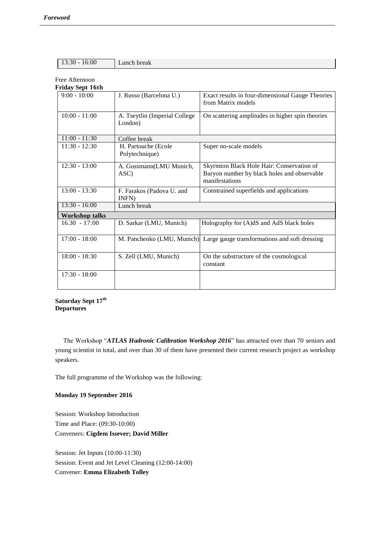|  | $13:30 - 16:00$ | Lunch break |
|--|-----------------|-------------|
|--|-----------------|-------------|

# Free Afternoon

| Friday Sept 16th      |                                          |                                                                                                            |  |
|-----------------------|------------------------------------------|------------------------------------------------------------------------------------------------------------|--|
| $9:00 - 10:00$        | J. Russo (Barcelona U.)                  | Exact results in four-dimensional Gauge Theories<br>from Matrix models                                     |  |
| $10:00 - 11:00$       | A. Tseytlin (Imperial College<br>London) | On scattering amplitudes in higher spin theories                                                           |  |
| $11:00 - 11:30$       | Coffee break                             |                                                                                                            |  |
| $11:30 - 12:30$       | H. Partouche (Ecole<br>Polytechnique)    | Super no-scale models                                                                                      |  |
| $12:30 - 13:00$       | A. Gussmann(LMU Munich,<br>ASC)          | Skyrmion Black Hole Hair: Conservation of<br>Baryon number by black holes and observable<br>manifestations |  |
| $13:00 - 13:30$       | F. Farakos (Padova U. and<br>INFN)       | Constrained superfields and applications                                                                   |  |
| $13:30 - 16:00$       | Lunch break                              |                                                                                                            |  |
| <b>Workshop talks</b> |                                          |                                                                                                            |  |
| $16.30 - 17:00$       | D. Sarkar (LMU, Munich)                  | Holography for (A)dS and AdS black holes                                                                   |  |
| $17:00 - 18:00$       |                                          | M. Panchenko (LMU, Munich) Large gauge transformations and soft dressing                                   |  |
| $18:00 - 18:30$       | S. Zell (LMU, Munich)                    | On the substructure of the cosmological<br>constant                                                        |  |
| $17:30 - 18:00$       |                                          |                                                                                                            |  |

**Saturday Sept 17th Departures**

 The Workshop "*ATLAS Hadronic Calibration Workshop 2016*" has attracted over than 70 seniors and young scientist in total, and over than 30 of them have presented their current research project as workshop speakers.

The full programme of the Workshop was the following:

### **Monday 19 September 2016**

Session: Workshop Introduction Time and Place: (09:30-10:00) Conveners: **Cigdem Issever; David Miller**

Session: Jet Inputs (10:00-11:30) Session: Event and Jet Level Cleaning (12:00-14:00) Convener: **Emma Elizabeth Tolley**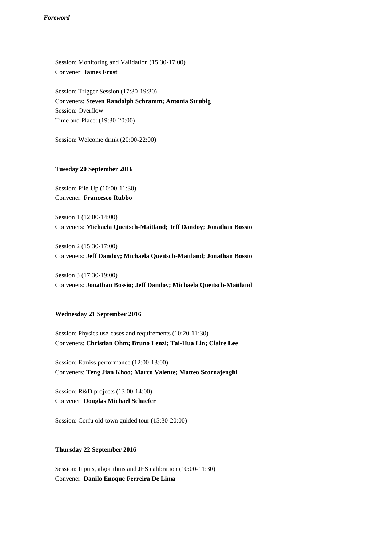Session: Monitoring and Validation (15:30-17:00) Convener: **James Frost**

Session: Trigger Session (17:30-19:30) Conveners: **Steven Randolph Schramm; Antonia Strubig** Session: Overflow Time and Place: (19:30-20:00)

Session: Welcome drink (20:00-22:00)

#### **Tuesday 20 September 2016**

Session: Pile-Up (10:00-11:30) Convener: **Francesco Rubbo**

Session 1 (12:00-14:00) Conveners: **Michaela Queitsch-Maitland; Jeff Dandoy; Jonathan Bossio**

Session 2 (15:30-17:00) Conveners: **Jeff Dandoy; Michaela Queitsch-Maitland; Jonathan Bossio**

Session 3 (17:30-19:00) Conveners: **Jonathan Bossio; Jeff Dandoy; Michaela Queitsch-Maitland**

#### **Wednesday 21 September 2016**

Session: Physics use-cases and requirements (10:20-11:30) Conveners: **Christian Ohm; Bruno Lenzi; Tai-Hua Lin; Claire Lee**

Session: Etmiss performance (12:00-13:00) Conveners: **Teng Jian Khoo; Marco Valente; Matteo Scornajenghi**

Session: R&D projects (13:00-14:00) Convener: **Douglas Michael Schaefer**

Session: Corfu old town guided tour (15:30-20:00)

#### **Thursday 22 September 2016**

Session: Inputs, algorithms and JES calibration (10:00-11:30) Convener: **Danilo Enoque Ferreira De Lima**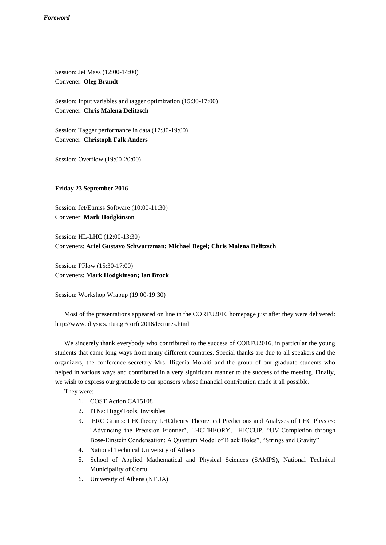Session: Jet Mass (12:00-14:00) Convener: **Oleg Brandt**

Session: Input variables and tagger optimization (15:30-17:00) Convener: **Chris Malena Delitzsch**

Session: Tagger performance in data (17:30-19:00) Convener: **Christoph Falk Anders**

Session: Overflow (19:00-20:00)

**Friday 23 September 2016**

Session: Jet/Etmiss Software (10:00-11:30) Convener: **Mark Hodgkinson**

Session: HL-LHC (12:00-13:30) Conveners: **Ariel Gustavo Schwartzman; Michael Begel; Chris Malena Delitzsch**

Session: PFlow (15:30-17:00) Conveners: **Mark Hodgkinson; Ian Brock**

Session: Workshop Wrapup (19:00-19:30)

Most of the presentations appeared on line in the CORFU2016 homepage just after they were delivered: http://www.physics.ntua.gr/corfu2016/lectures.html

We sincerely thank everybody who contributed to the success of CORFU2016, in particular the young students that came long ways from many different countries. Special thanks are due to all speakers and the organizers, the conference secretary Mrs. Ifigenia Moraiti and the group of our graduate students who helped in various ways and contributed in a very significant manner to the success of the meeting. Finally, we wish to express our gratitude to our sponsors whose financial contribution made it all possible.

They were:

- 1. COST Action CA15108
- 2. ITNs: HiggsTools, Invisibles
- 3. ERC Grants: LHCtheory LHCtheory Theoretical Predictions and Analyses of LHC Physics: "Advancing the Precision Frontier", LHCTHEORY, HICCUP, "UV-Completion through Bose-Einstein Condensation: A Quantum Model of Black Holes", "Strings and Gravity"
- 4. National Technical University of Athens
- 5. School of Applied Mathematical and Physical Sciences (SAMPS), National Technical Municipality of Corfu
- 6. University of Athens (NTUA)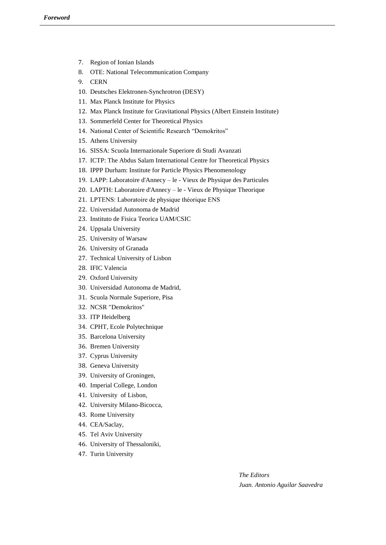- 7. Region of Ionian Islands
- 8. OTE: National Telecommunication Company
- 9. CERN
- 10. Deutsches Elektronen-Synchrotron (DESY)
- 11. Max Planck Institute for Physics
- 12. Max Planck Institute for Gravitational Physics (Albert Einstein Institute)
- 13. Sommerfeld Center for Theoretical Physics
- 14. National Center of Scientific Research "Demokritos"
- 15. Athens University
- 16. SISSA: Scuola Internazionale Superiore di Studi Avanzati
- 17. ICTP: The Abdus Salam International Centre for Theoretical Physics
- 18. IPPP Durham: Institute for Particle Physics Phenomenology
- 19. LAPP: Laboratoire d'Annecy le Vieux de Physique des Particules
- 20. LAPTH: Laboratoire d'Annecy le Vieux de Physique Theorique
- 21. LPTENS: Laboratoire de physique théorique ENS
- 22. Universidad Autonoma de Madrid
- 23. Instituto de Fisica Teorica UAM/CSIC
- 24. Uppsala University
- 25. University of Warsaw
- 26. University of Granada
- 27. Technical University of Lisbon
- 28. IFIC Valencia
- 29. Oxford University
- 30. Universidad Autonoma de Madrid,
- 31. Scuola Normale Superiore, Pisa
- 32. NCSR "Demokritos"
- 33. ITP Heidelberg
- 34. CPHT, Ecole Polytechnique
- 35. Barcelona University
- 36. Bremen University
- 37. Cyprus University
- 38. Geneva University
- 39. University of Groningen,
- 40. Imperial College, London
- 41. University of Lisbon,
- 42. University Milano-Bicocca,
- 43. Rome University
- 44. CEA/Saclay,
- 45. Tel Aviv University
- 46. University of Thessaloniki,
- 47. Turin University

*The Editors Juan. Antonio Aguilar Saavedra*